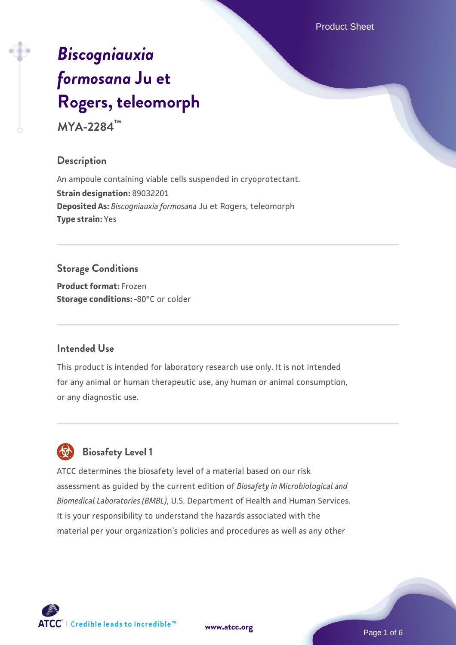Product Sheet

# *[Biscogniauxia](https://www.atcc.org/products/mya-2284) [formosana](https://www.atcc.org/products/mya-2284)* **[Ju et](https://www.atcc.org/products/mya-2284) [Rogers, teleomorph](https://www.atcc.org/products/mya-2284)**

**MYA-2284™**

#### **Description**

An ampoule containing viable cells suspended in cryoprotectant. **Strain designation:** 89032201 **Deposited As:** *Biscogniauxia formosana* Ju et Rogers, teleomorph **Type strain:** Yes

## **Storage Conditions**

**Product format:** Frozen **Storage conditions: -80°C** or colder

#### **Intended Use**

This product is intended for laboratory research use only. It is not intended for any animal or human therapeutic use, any human or animal consumption, or any diagnostic use.



## **Biosafety Level 1**

ATCC determines the biosafety level of a material based on our risk assessment as guided by the current edition of *Biosafety in Microbiological and Biomedical Laboratories (BMBL)*, U.S. Department of Health and Human Services. It is your responsibility to understand the hazards associated with the material per your organization's policies and procedures as well as any other

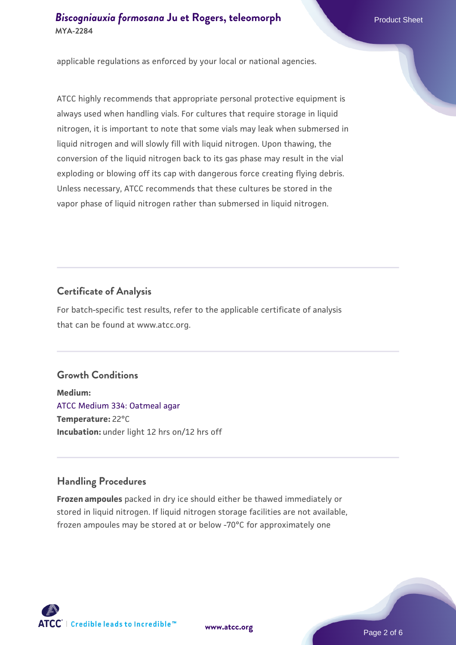applicable regulations as enforced by your local or national agencies.

ATCC highly recommends that appropriate personal protective equipment is always used when handling vials. For cultures that require storage in liquid nitrogen, it is important to note that some vials may leak when submersed in liquid nitrogen and will slowly fill with liquid nitrogen. Upon thawing, the conversion of the liquid nitrogen back to its gas phase may result in the vial exploding or blowing off its cap with dangerous force creating flying debris. Unless necessary, ATCC recommends that these cultures be stored in the vapor phase of liquid nitrogen rather than submersed in liquid nitrogen.

#### **Certificate of Analysis**

For batch-specific test results, refer to the applicable certificate of analysis that can be found at www.atcc.org.

#### **Growth Conditions**

**Medium:**  [ATCC Medium 334: Oatmeal agar](https://www.atcc.org/-/media/product-assets/documents/microbial-media-formulations/3/3/4/atcc-medium-334.pdf?rev=e382a75a48794764902dd7457c97fc29) **Temperature:** 22°C **Incubation:** under light 12 hrs on/12 hrs off

#### **Handling Procedures**

**Frozen ampoules** packed in dry ice should either be thawed immediately or stored in liquid nitrogen. If liquid nitrogen storage facilities are not available, frozen ampoules may be stored at or below -70°C for approximately one



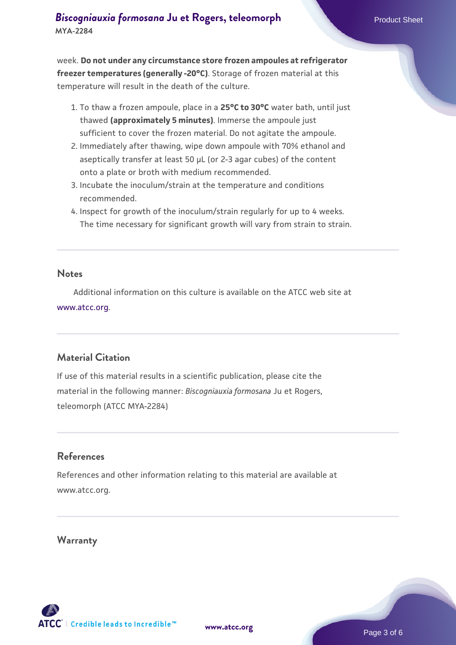week. **Do not under any circumstance store frozen ampoules at refrigerator freezer temperatures (generally -20°C)**. Storage of frozen material at this temperature will result in the death of the culture.

- 1. To thaw a frozen ampoule, place in a **25°C to 30°C** water bath, until just thawed **(approximately 5 minutes)**. Immerse the ampoule just sufficient to cover the frozen material. Do not agitate the ampoule.
- 2. Immediately after thawing, wipe down ampoule with 70% ethanol and aseptically transfer at least 50 µL (or 2-3 agar cubes) of the content onto a plate or broth with medium recommended.
- Incubate the inoculum/strain at the temperature and conditions 3. recommended.
- 4. Inspect for growth of the inoculum/strain regularly for up to 4 weeks. The time necessary for significant growth will vary from strain to strain.

#### **Notes**

 Additional information on this culture is available on the ATCC web site at [www.atcc.org.](http://www.atcc.org/)

#### **Material Citation**

If use of this material results in a scientific publication, please cite the material in the following manner: *Biscogniauxia formosana* Ju et Rogers, teleomorph (ATCC MYA-2284)

#### **References**

References and other information relating to this material are available at www.atcc.org.

#### **Warranty**

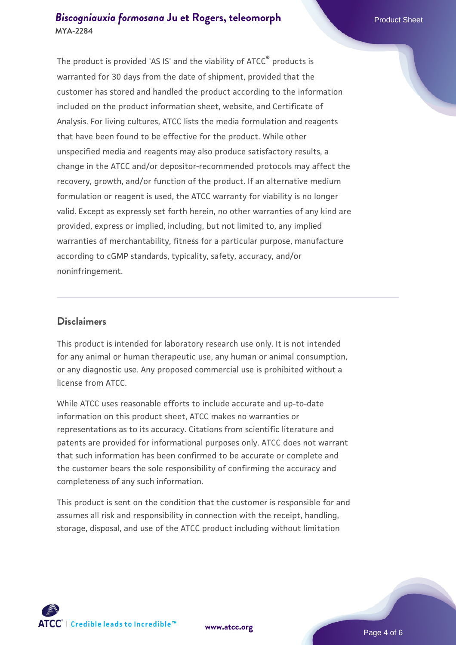The product is provided 'AS IS' and the viability of ATCC® products is warranted for 30 days from the date of shipment, provided that the customer has stored and handled the product according to the information included on the product information sheet, website, and Certificate of Analysis. For living cultures, ATCC lists the media formulation and reagents that have been found to be effective for the product. While other unspecified media and reagents may also produce satisfactory results, a change in the ATCC and/or depositor-recommended protocols may affect the recovery, growth, and/or function of the product. If an alternative medium formulation or reagent is used, the ATCC warranty for viability is no longer valid. Except as expressly set forth herein, no other warranties of any kind are provided, express or implied, including, but not limited to, any implied warranties of merchantability, fitness for a particular purpose, manufacture according to cGMP standards, typicality, safety, accuracy, and/or noninfringement.

#### **Disclaimers**

This product is intended for laboratory research use only. It is not intended for any animal or human therapeutic use, any human or animal consumption, or any diagnostic use. Any proposed commercial use is prohibited without a license from ATCC.

While ATCC uses reasonable efforts to include accurate and up-to-date information on this product sheet, ATCC makes no warranties or representations as to its accuracy. Citations from scientific literature and patents are provided for informational purposes only. ATCC does not warrant that such information has been confirmed to be accurate or complete and the customer bears the sole responsibility of confirming the accuracy and completeness of any such information.

This product is sent on the condition that the customer is responsible for and assumes all risk and responsibility in connection with the receipt, handling, storage, disposal, and use of the ATCC product including without limitation



**[www.atcc.org](http://www.atcc.org)**

Page 4 of 6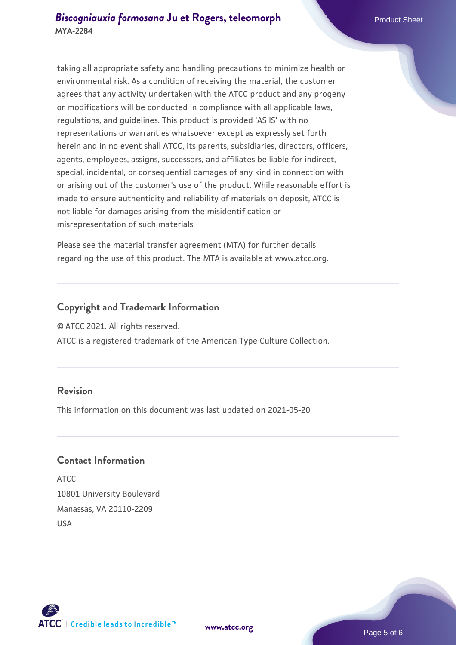taking all appropriate safety and handling precautions to minimize health or environmental risk. As a condition of receiving the material, the customer agrees that any activity undertaken with the ATCC product and any progeny or modifications will be conducted in compliance with all applicable laws, regulations, and guidelines. This product is provided 'AS IS' with no representations or warranties whatsoever except as expressly set forth herein and in no event shall ATCC, its parents, subsidiaries, directors, officers, agents, employees, assigns, successors, and affiliates be liable for indirect, special, incidental, or consequential damages of any kind in connection with or arising out of the customer's use of the product. While reasonable effort is made to ensure authenticity and reliability of materials on deposit, ATCC is not liable for damages arising from the misidentification or misrepresentation of such materials.

Please see the material transfer agreement (MTA) for further details regarding the use of this product. The MTA is available at www.atcc.org.

#### **Copyright and Trademark Information**

© ATCC 2021. All rights reserved.

ATCC is a registered trademark of the American Type Culture Collection.

#### **Revision**

This information on this document was last updated on 2021-05-20

#### **Contact Information**

ATCC 10801 University Boulevard Manassas, VA 20110-2209 USA